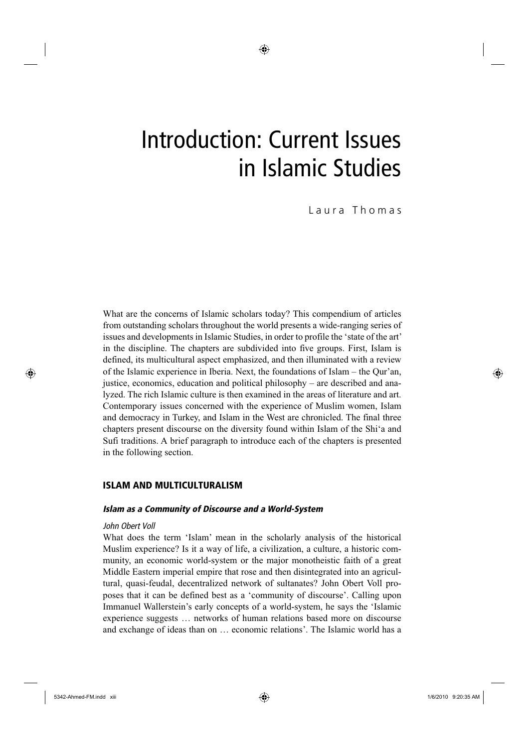# Introduction: Current Issues in Islamic Studies

Laura Thomas

What are the concerns of Islamic scholars today? This compendium of articles from outstanding scholars throughout the world presents a wide-ranging series of issues and developments in Islamic Studies, in order to profile the 'state of the art' in the discipline. The chapters are subdivided into five groups. First, Islam is defined, its multicultural aspect emphasized, and then illuminated with a review of the Islamic experience in Iberia. Next, the foundations of Islam – the Qur'an, justice, economics, education and political philosophy – are described and analyzed. The rich Islamic culture is then examined in the areas of literature and art. Contemporary issues concerned with the experience of Muslim women, Islam and democracy in Turkey, and Islam in the West are chronicled. The final three chapters present discourse on the diversity found within Islam of the Shi'a and Sufi traditions. A brief paragraph to introduce each of the chapters is presented in the following section.

# ISLAM AND MULTICULTURALISM

# *Islam as a Community of Discourse and a World-System*

# *John Obert Voll*

What does the term 'Islam' mean in the scholarly analysis of the historical Muslim experience? Is it a way of life, a civilization, a culture, a historic community, an economic world-system or the major monotheistic faith of a great Middle Eastern imperial empire that rose and then disintegrated into an agricultural, quasi-feudal, decentralized network of sultanates? John Obert Voll proposes that it can be defined best as a 'community of discourse'. Calling upon Immanuel Wallerstein's early concepts of a world-system, he says the 'Islamic experience suggests … networks of human relations based more on discourse and exchange of ideas than on … economic relations'. The Islamic world has a

⊕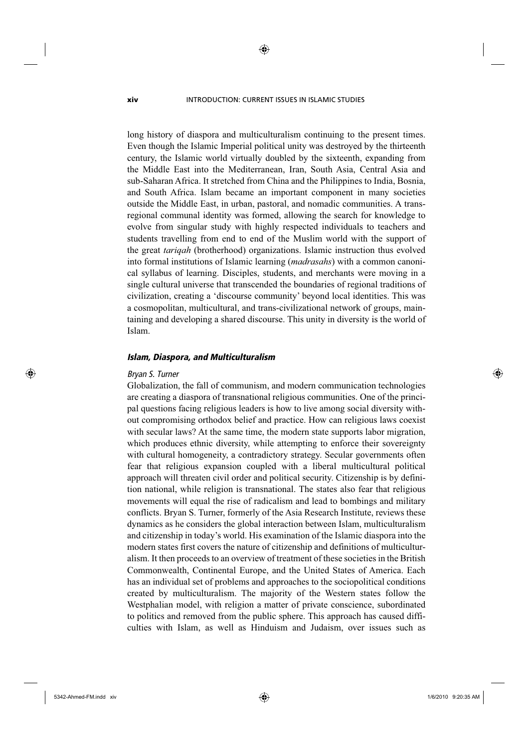#### **xiv** INTRODUCTION: CURRENT ISSUES IN ISLAMIC STUDIES

◈

long history of diaspora and multiculturalism continuing to the present times. Even though the Islamic Imperial political unity was destroyed by the thirteenth century, the Islamic world virtually doubled by the sixteenth, expanding from the Middle East into the Mediterranean, Iran, South Asia, Central Asia and sub-Saharan Africa. It stretched from China and the Philippines to India, Bosnia, and South Africa. Islam became an important component in many societies outside the Middle East, in urban, pastoral, and nomadic communities. A transregional communal identity was formed, allowing the search for knowledge to evolve from singular study with highly respected individuals to teachers and students travelling from end to end of the Muslim world with the support of the great *tariqah* (brotherhood) organizations. Islamic instruction thus evolved into formal institutions of Islamic learning (*madrasahs*) with a common canonical syllabus of learning. Disciples, students, and merchants were moving in a single cultural universe that transcended the boundaries of regional traditions of civilization, creating a 'discourse community' beyond local identities. This was a cosmopolitan, multicultural, and trans-civilizational network of groups, maintaining and developing a shared discourse. This unity in diversity is the world of Islam.

# *Islam, Diaspora, and Multiculturalism*

# *Bryan S. Turner*

⊕

Globalization, the fall of communism, and modern communication technologies are creating a diaspora of transnational religious communities. One of the principal questions facing religious leaders is how to live among social diversity without compromising orthodox belief and practice. How can religious laws coexist with secular laws? At the same time, the modern state supports labor migration, which produces ethnic diversity, while attempting to enforce their sovereignty with cultural homogeneity, a contradictory strategy. Secular governments often fear that religious expansion coupled with a liberal multicultural political approach will threaten civil order and political security. Citizenship is by definition national, while religion is transnational. The states also fear that religious movements will equal the rise of radicalism and lead to bombings and military conflicts. Bryan S. Turner, formerly of the Asia Research Institute, reviews these dynamics as he considers the global interaction between Islam, multiculturalism and citizenship in today's world. His examination of the Islamic diaspora into the modern states first covers the nature of citizenship and definitions of multiculturalism. It then proceeds to an overview of treatment of these societies in the British Commonwealth, Continental Europe, and the United States of America. Each has an individual set of problems and approaches to the sociopolitical conditions created by multiculturalism. The majority of the Western states follow the Westphalian model, with religion a matter of private conscience, subordinated to politics and removed from the public sphere. This approach has caused difficulties with Islam, as well as Hinduism and Judaism, over issues such as ⊕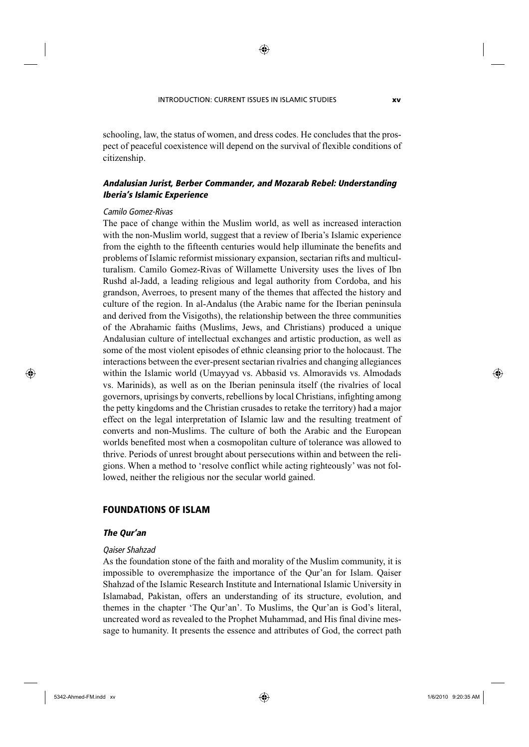◈

schooling, law, the status of women, and dress codes. He concludes that the prospect of peaceful coexistence will depend on the survival of flexible conditions of citizenship.

# *Andalusian Jurist, Berber Commander, and Mozarab Rebel: Understanding Iberia's Islamic Experience*

## *Camilo Gomez-Rivas*

The pace of change within the Muslim world, as well as increased interaction with the non-Muslim world, suggest that a review of Iberia's Islamic experience from the eighth to the fifteenth centuries would help illuminate the benefits and problems of Islamic reformist missionary expansion, sectarian rifts and multiculturalism. Camilo Gomez-Rivas of Willamette University uses the lives of Ibn Rushd al-Jadd, a leading religious and legal authority from Cordoba, and his grandson, Averroes, to present many of the themes that affected the history and culture of the region. In al-Andalus (the Arabic name for the Iberian peninsula and derived from the Visigoths), the relationship between the three communities of the Abrahamic faiths (Muslims, Jews, and Christians) produced a unique Andalusian culture of intellectual exchanges and artistic production, as well as some of the most violent episodes of ethnic cleansing prior to the holocaust. The interactions between the ever-present sectarian rivalries and changing allegiances within the Islamic world (Umayyad vs. Abbasid vs. Almoravids vs. Almodads vs. Marinids), as well as on the Iberian peninsula itself (the rivalries of local governors, uprisings by converts, rebellions by local Christians, infighting among the petty kingdoms and the Christian crusades to retake the territory) had a major effect on the legal interpretation of Islamic law and the resulting treatment of converts and non-Muslims. The culture of both the Arabic and the European worlds benefited most when a cosmopolitan culture of tolerance was allowed to thrive. Periods of unrest brought about persecutions within and between the religions. When a method to 'resolve conflict while acting righteously' was not followed, neither the religious nor the secular world gained.

# FOUNDATIONS OF ISLAM

# *The Qur'an*

#### *Qaiser Shahzad*

As the foundation stone of the faith and morality of the Muslim community, it is impossible to overemphasize the importance of the Qur'an for Islam. Qaiser Shahzad of the Islamic Research Institute and International Islamic University in Islamabad, Pakistan, offers an understanding of its structure, evolution, and themes in the chapter 'The Qur'an'. To Muslims, the Qur'an is God's literal, uncreated word as revealed to the Prophet Muhammad, and His final divine message to humanity. It presents the essence and attributes of God, the correct path

⊕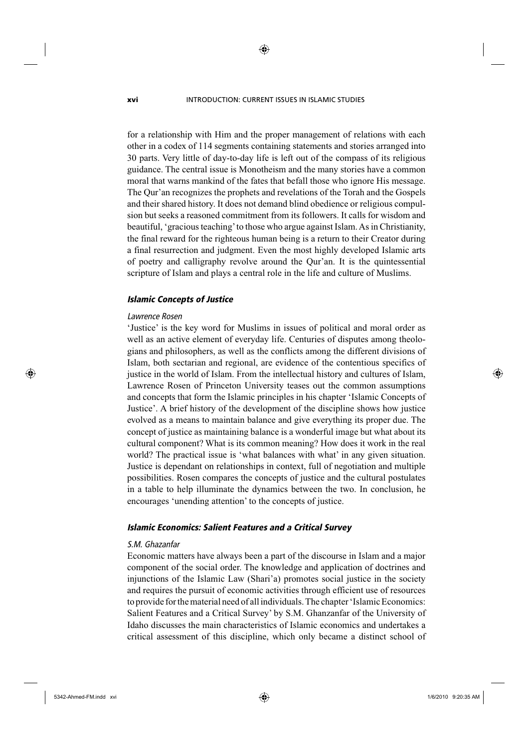**xvi** INTRODUCTION: CURRENT ISSUES IN ISLAMIC STUDIES

◈

for a relationship with Him and the proper management of relations with each other in a codex of 114 segments containing statements and stories arranged into 30 parts. Very little of day-to-day life is left out of the compass of its religious guidance. The central issue is Monotheism and the many stories have a common moral that warns mankind of the fates that befall those who ignore His message. The Qur'an recognizes the prophets and revelations of the Torah and the Gospels and their shared history. It does not demand blind obedience or religious compulsion but seeks a reasoned commitment from its followers. It calls for wisdom and beautiful, 'gracious teaching' to those who argue against Islam. As in Christianity, the final reward for the righteous human being is a return to their Creator during a final resurrection and judgment. Even the most highly developed Islamic arts of poetry and calligraphy revolve around the Qur'an. It is the quintessential scripture of Islam and plays a central role in the life and culture of Muslims.

# *Islamic Concepts of Justice*

# *Lawrence Rosen*

'Justice' is the key word for Muslims in issues of political and moral order as well as an active element of everyday life. Centuries of disputes among theologians and philosophers, as well as the conflicts among the different divisions of Islam, both sectarian and regional, are evidence of the contentious specifics of justice in the world of Islam. From the intellectual history and cultures of Islam, Lawrence Rosen of Princeton University teases out the common assumptions and concepts that form the Islamic principles in his chapter 'Islamic Concepts of Justice'. A brief history of the development of the discipline shows how justice evolved as a means to maintain balance and give everything its proper due. The concept of justice as maintaining balance is a wonderful image but what about its cultural component? What is its common meaning? How does it work in the real world? The practical issue is 'what balances with what' in any given situation. Justice is dependant on relationships in context, full of negotiation and multiple possibilities. Rosen compares the concepts of justice and the cultural postulates in a table to help illuminate the dynamics between the two. In conclusion, he encourages 'unending attention' to the concepts of justice.

#### *Islamic Economics: Salient Features and a Critical Survey*

## *S.M. Ghazanfar*

Economic matters have always been a part of the discourse in Islam and a major component of the social order. The knowledge and application of doctrines and injunctions of the Islamic Law (Shari'a) promotes social justice in the society and requires the pursuit of economic activities through efficient use of resources to provide for the material need of all individuals. The chapter 'Islamic Economics: Salient Features and a Critical Survey' by S.M. Ghanzanfar of the University of Idaho discusses the main characteristics of Islamic economics and undertakes a critical assessment of this discipline, which only became a distinct school of

⊕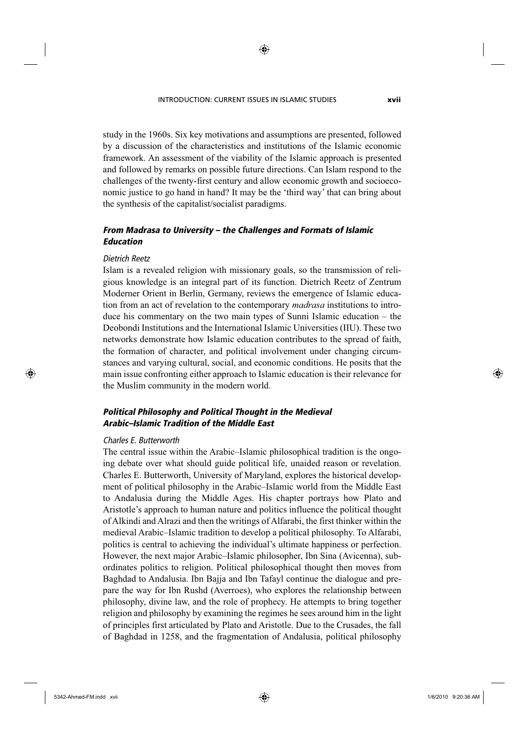#### INTRODUCTION: CURRENT ISSUES IN ISLAMIC STUDIES **xvii**

◈

study in the 1960s. Six key motivations and assumptions are presented, followed by a discussion of the characteristics and institutions of the Islamic economic framework. An assessment of the viability of the Islamic approach is presented and followed by remarks on possible future directions. Can Islam respond to the challenges of the twenty-first century and allow economic growth and socioeconomic justice to go hand in hand? It may be the 'third way' that can bring about the synthesis of the capitalist/socialist paradigms.

# *From Madrasa to University – the Challenges and Formats of Islamic Education*

# *Dietrich Reetz*

⊕

Islam is a revealed religion with missionary goals, so the transmission of religious knowledge is an integral part of its function. Dietrich Reetz of Zentrum Moderner Orient in Berlin, Germany, reviews the emergence of Islamic education from an act of revelation to the contemporary *madrasa* institutions to introduce his commentary on the two main types of Sunni Islamic education – the Deobondi Institutions and the International Islamic Universities (IIU). These two networks demonstrate how Islamic education contributes to the spread of faith, the formation of character, and political involvement under changing circumstances and varying cultural, social, and economic conditions. He posits that the main issue confronting either approach to Islamic education is their relevance for the Muslim community in the modern world.

# *Political Philosophy and Political Thought in the Medieval Arabic–Islamic Tradition of the Middle East*

## *Charles E. Butterworth*

The central issue within the Arabic–Islamic philosophical tradition is the ongoing debate over what should guide political life, unaided reason or revelation. Charles E. Butterworth, University of Maryland, explores the historical development of political philosophy in the Arabic–Islamic world from the Middle East to Andalusia during the Middle Ages. His chapter portrays how Plato and Aristotle's approach to human nature and politics influence the political thought of Alkindi and Alrazi and then the writings of Alfarabi, the first thinker within the medieval Arabic–Islamic tradition to develop a political philosophy. To Alfarabi, politics is central to achieving the individual's ultimate happiness or perfection. However, the next major Arabic–Islamic philosopher, Ibn Sina (Avicenna), subordinates politics to religion. Political philosophical thought then moves from Baghdad to Andalusia. Ibn Bajja and Ibn Tafayl continue the dialogue and prepare the way for Ibn Rushd (Averroes), who explores the relationship between philosophy, divine law, and the role of prophecy. He attempts to bring together religion and philosophy by examining the regimes he sees around him in the light of principles first articulated by Plato and Aristotle. Due to the Crusades, the fall of Baghdad in 1258, and the fragmentation of Andalusia, political philosophy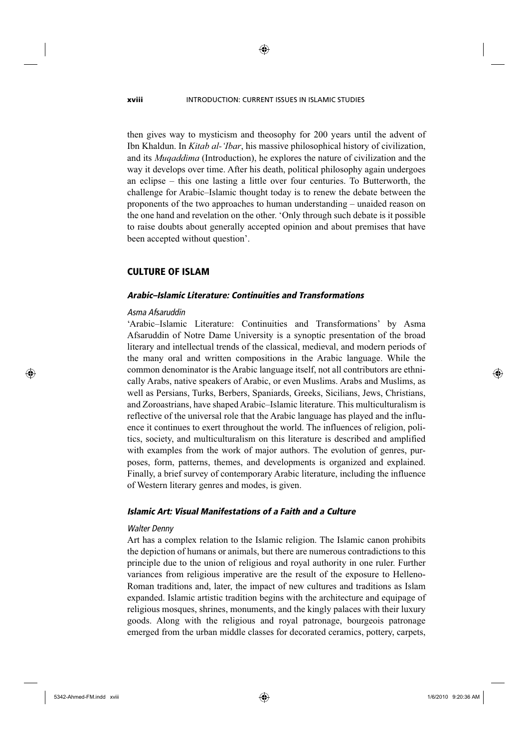#### **xviii** INTRODUCTION: CURRENT ISSUES IN ISLAMIC STUDIES

then gives way to mysticism and theosophy for 200 years until the advent of Ibn Khaldun. In *Kitab al-'Ibar*, his massive philosophical history of civilization, and its *Muqaddima* (Introduction), he explores the nature of civilization and the way it develops over time. After his death, political philosophy again undergoes an eclipse – this one lasting a little over four centuries. To Butterworth, the challenge for Arabic–Islamic thought today is to renew the debate between the proponents of the two approaches to human understanding – unaided reason on the one hand and revelation on the other. 'Only through such debate is it possible to raise doubts about generally accepted opinion and about premises that have been accepted without question'.

# CULTURE OF ISLAM

# *Arabic–Islamic Literature: Continuities and Transformations*

#### *Asma Afsaruddin*

'Arabic–Islamic Literature: Continuities and Transformations' by Asma Afsaruddin of Notre Dame University is a synoptic presentation of the broad literary and intellectual trends of the classical, medieval, and modern periods of the many oral and written compositions in the Arabic language. While the common denominator is the Arabic language itself, not all contributors are ethnically Arabs, native speakers of Arabic, or even Muslims. Arabs and Muslims, as well as Persians, Turks, Berbers, Spaniards, Greeks, Sicilians, Jews, Christians, and Zoroastrians, have shaped Arabic–Islamic literature. This multiculturalism is reflective of the universal role that the Arabic language has played and the influence it continues to exert throughout the world. The influences of religion, politics, society, and multiculturalism on this literature is described and amplified with examples from the work of major authors. The evolution of genres, purposes, form, patterns, themes, and developments is organized and explained. Finally, a brief survey of contemporary Arabic literature, including the influence of Western literary genres and modes, is given.

# *Islamic Art: Visual Manifestations of a Faith and a Culture*

## *Walter Denny*

Art has a complex relation to the Islamic religion. The Islamic canon prohibits the depiction of humans or animals, but there are numerous contradictions to this principle due to the union of religious and royal authority in one ruler. Further variances from religious imperative are the result of the exposure to Helleno-Roman traditions and, later, the impact of new cultures and traditions as Islam expanded. Islamic artistic tradition begins with the architecture and equipage of religious mosques, shrines, monuments, and the kingly palaces with their luxury goods. Along with the religious and royal patronage, bourgeois patronage emerged from the urban middle classes for decorated ceramics, pottery, carpets,

5342-Ahmed-FM.indd xviii 342-Ahmed-FM.indd xviii 342-Ahmed-FM.indd xviii 342-Ahmed-FM.indd xviii

⊕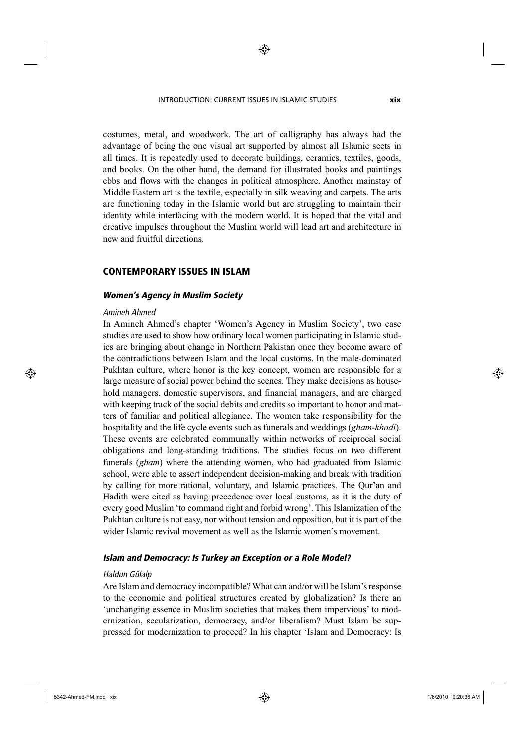#### INTRODUCTION: CURRENT ISSUES IN ISLAMIC STUDIES **xix**

◈

costumes, metal, and woodwork. The art of calligraphy has always had the advantage of being the one visual art supported by almost all Islamic sects in all times. It is repeatedly used to decorate buildings, ceramics, textiles, goods, and books. On the other hand, the demand for illustrated books and paintings ebbs and flows with the changes in political atmosphere. Another mainstay of Middle Eastern art is the textile, especially in silk weaving and carpets. The arts are functioning today in the Islamic world but are struggling to maintain their identity while interfacing with the modern world. It is hoped that the vital and creative impulses throughout the Muslim world will lead art and architecture in new and fruitful directions.

# CONTEMPORARY ISSUES IN ISLAM

## *Women's Agency in Muslim Society*

#### *Amineh Ahmed*

⊕

In Amineh Ahmed's chapter 'Women's Agency in Muslim Society', two case studies are used to show how ordinary local women participating in Islamic studies are bringing about change in Northern Pakistan once they become aware of the contradictions between Islam and the local customs. In the male-dominated Pukhtan culture, where honor is the key concept, women are responsible for a large measure of social power behind the scenes. They make decisions as household managers, domestic supervisors, and financial managers, and are charged with keeping track of the social debits and credits so important to honor and matters of familiar and political allegiance. The women take responsibility for the hospitality and the life cycle events such as funerals and weddings (*gham-khadi*). These events are celebrated communally within networks of reciprocal social obligations and long-standing traditions. The studies focus on two different funerals (*gham*) where the attending women, who had graduated from Islamic school, were able to assert independent decision-making and break with tradition by calling for more rational, voluntary, and Islamic practices. The Qur'an and Hadith were cited as having precedence over local customs, as it is the duty of every good Muslim 'to command right and forbid wrong'. This Islamization of the Pukhtan culture is not easy, nor without tension and opposition, but it is part of the wider Islamic revival movement as well as the Islamic women's movement.

# *Islam and Democracy: Is Turkey an Exception or a Role Model?*

#### *Haldun Gülalp*

Are Islam and democracy incompatible? What can and/or will be Islam's response to the economic and political structures created by globalization? Is there an 'unchanging essence in Muslim societies that makes them impervious' to modernization, secularization, democracy, and/or liberalism? Must Islam be suppressed for modernization to proceed? In his chapter 'Islam and Democracy: Is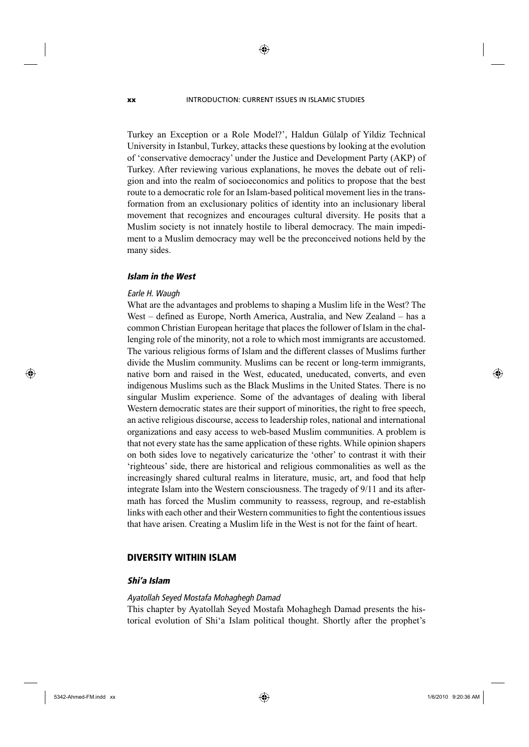**xx** INTRODUCTION: CURRENT ISSUES IN ISLAMIC STUDIES

◈

Turkey an Exception or a Role Model?', Haldun Gülalp of Yildiz Technical University in Istanbul, Turkey, attacks these questions by looking at the evolution of 'conservative democracy' under the Justice and Development Party (AKP) of Turkey. After reviewing various explanations, he moves the debate out of religion and into the realm of socioeconomics and politics to propose that the best route to a democratic role for an Islam-based political movement lies in the transformation from an exclusionary politics of identity into an inclusionary liberal movement that recognizes and encourages cultural diversity. He posits that a Muslim society is not innately hostile to liberal democracy. The main impediment to a Muslim democracy may well be the preconceived notions held by the many sides.

# *Islam in the West*

## *Earle H. Waugh*

What are the advantages and problems to shaping a Muslim life in the West? The West – defined as Europe, North America, Australia, and New Zealand – has a common Christian European heritage that places the follower of Islam in the challenging role of the minority, not a role to which most immigrants are accustomed. The various religious forms of Islam and the different classes of Muslims further divide the Muslim community. Muslims can be recent or long-term immigrants, native born and raised in the West, educated, uneducated, converts, and even indigenous Muslims such as the Black Muslims in the United States. There is no singular Muslim experience. Some of the advantages of dealing with liberal Western democratic states are their support of minorities, the right to free speech, an active religious discourse, access to leadership roles, national and international organizations and easy access to web-based Muslim communities. A problem is that not every state has the same application of these rights. While opinion shapers on both sides love to negatively caricaturize the 'other' to contrast it with their 'righteous' side, there are historical and religious commonalities as well as the increasingly shared cultural realms in literature, music, art, and food that help integrate Islam into the Western consciousness. The tragedy of 9/11 and its aftermath has forced the Muslim community to reassess, regroup, and re-establish links with each other and their Western communities to fight the contentious issues that have arisen. Creating a Muslim life in the West is not for the faint of heart.

# DIVERSITY WITHIN ISLAM

# *Shi'a Islam*

# *Ayatollah Seyed Mostafa Mohaghegh Damad*

This chapter by Ayatollah Seyed Mostafa Mohaghegh Damad presents the historical evolution of Shi'a Islam political thought. Shortly after the prophet's

⊕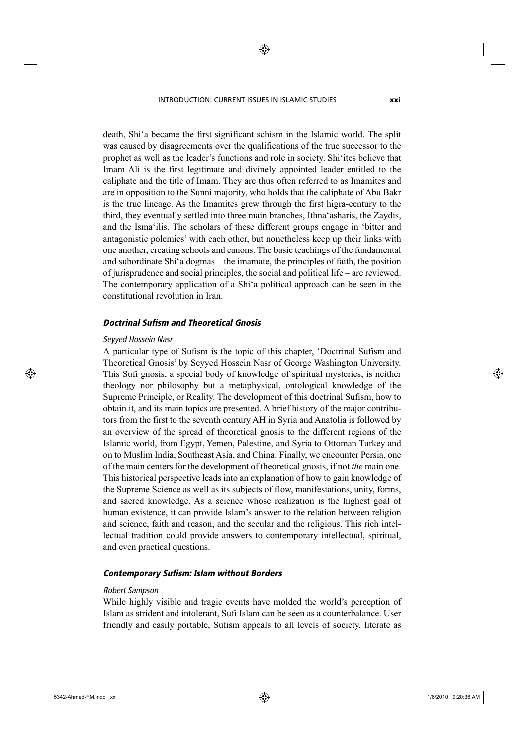INTRODUCTION: CURRENT ISSUES IN ISLAMIC STUDIES **xxi**

death, Shi'a became the first significant schism in the Islamic world. The split was caused by disagreements over the qualifications of the true successor to the

◈

prophet as well as the leader's functions and role in society. Shi'ites believe that Imam Ali is the first legitimate and divinely appointed leader entitled to the caliphate and the title of Imam. They are thus often referred to as Imamites and are in opposition to the Sunni majority, who holds that the caliphate of Abu Bakr is the true lineage. As the Imamites grew through the first higra-century to the third, they eventually settled into three main branches, Ithna'asharis, the Zaydis, and the Isma'ilis. The scholars of these different groups engage in 'bitter and antagonistic polemics' with each other, but nonetheless keep up their links with one another, creating schools and canons. The basic teachings of the fundamental and subordinate Shi'a dogmas – the imamate, the principles of faith, the position of jurisprudence and social principles, the social and political life – are reviewed. The contemporary application of a Shi'a political approach can be seen in the constitutional revolution in Iran.

# *Doctrinal Sufism and Theoretical Gnosis*

## *Seyyed Hossein Nasr*

⊕

A particular type of Sufism is the topic of this chapter, 'Doctrinal Sufism and Theoretical Gnosis' by Seyyed Hossein Nasr of George Washington University. This Sufi gnosis, a special body of knowledge of spiritual mysteries, is neither theology nor philosophy but a metaphysical, ontological knowledge of the Supreme Principle, or Reality. The development of this doctrinal Sufism, how to obtain it, and its main topics are presented. A brief history of the major contributors from the first to the seventh century AH in Syria and Anatolia is followed by an overview of the spread of theoretical gnosis to the different regions of the Islamic world, from Egypt, Yemen, Palestine, and Syria to Ottoman Turkey and on to Muslim India, Southeast Asia, and China. Finally, we encounter Persia, one of the main centers for the development of theoretical gnosis, if not *the* main one. This historical perspective leads into an explanation of how to gain knowledge of the Supreme Science as well as its subjects of flow, manifestations, unity, forms, and sacred knowledge. As a science whose realization is the highest goal of human existence, it can provide Islam's answer to the relation between religion and science, faith and reason, and the secular and the religious. This rich intellectual tradition could provide answers to contemporary intellectual, spiritual, and even practical questions.

# *Contemporary Sufism: Islam without Borders*

#### *Robert Sampson*

While highly visible and tragic events have molded the world's perception of Islam as strident and intolerant, Sufi Islam can be seen as a counterbalance. User friendly and easily portable, Sufism appeals to all levels of society, literate as